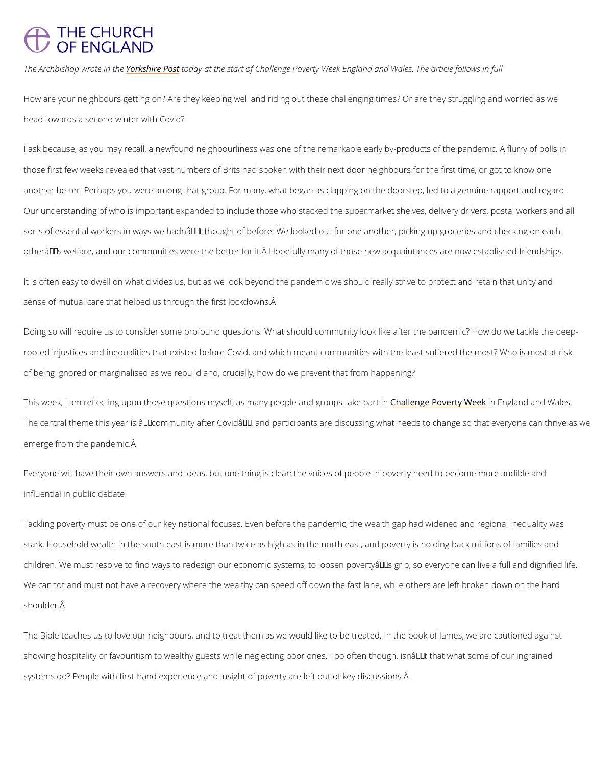## **THE CHURCH OF ENGLAND**

The Archbishop whethes hirthe Holday at the start of Challenge Poverty Week England and Wales. The article follows in full follows in Fulle follows in Fulland and Wales.

How are your neighbours getting on? Are they keeping well and riding out these challenging head towards a second winter with Covid?

I ask because, as you may recall, a newfound neighbourliness was one of the remarkable ear those first few weeks revealed that vast numbers of Brits had spoken with their next door ne another better. Perhaps you were among that group. For many, what began as clapping on the Our understanding of who is important expanded to include those who stacked the supermark sorts of essential workers in ways we hadnâ $\epsilon^{\text{TM}}$ t thought of before. We looked out for one and otherâ $\in$   $\mathbb{T}^{\mathsf{M}}$  s welfare, and our communities were the better for it.  $\mathsf{\hat{A}}$  Hopefully many of those nev

It is often easy to dwell on what divides us, but as we look beyond the pandemic we should r sense of mutual care that helped us through the first lockdowns.

Doing so will require us to consider some profound questions. What should community look li rooted injustices and inequalities that existed before Covid, and which meant communities w of being ignored or marginalised as we rebuild and, crucially, how do we prevent that from h

This week, I am reflecting upon those questions myself, as nCahnayllene.gelPoavned tign to Eunepeyskatnadkeampoarl The central theme this year is  $\hat{\mathsf{a}} \in \tilde{\mathsf{c}}$  community after Covid $\hat{\mathsf{a}} \in \mathsf{I}^{\mathsf{M}}$ , and participants are discussing emerge from the pandemic.

Everyone will have their own answers and ideas, but one thing is clear: the voices of people influential in public debate.

Tackling poverty must be one of our key national focuses. Even before the pandemic, the wea stark. Household wealth in the south east is more than twice as high as in the north east, an children. We must resolve to find ways to redesign our economic systems, to loosen povertyâ

We cannot and must not have a recovery where the wealthy can speed off down the fast lane, shoulder.

The Bible teaches us to love our neighbours, and to treat them as we would like to be treate showing hospitality or favouritism to wealthy quests while neglecting poor ones. Too often th systems do? People with first-hand experience and insight of poverty are left out of key disc